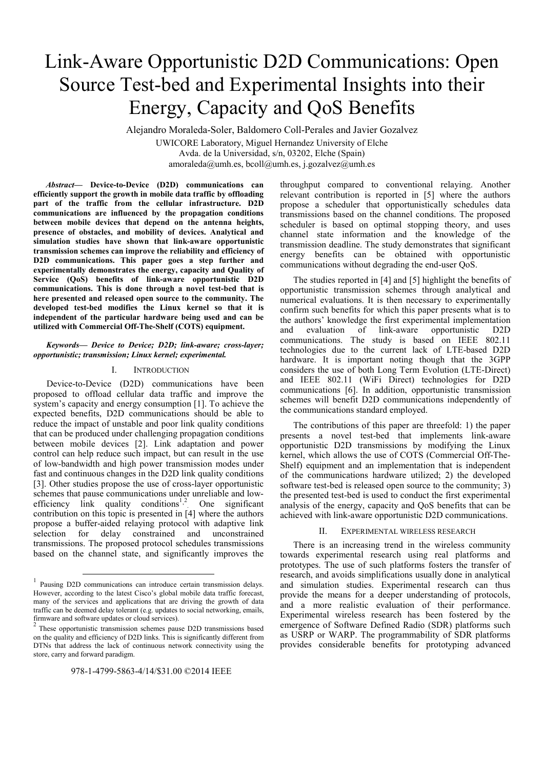# Link-Aware Opportunistic D2D Communications: Open Source Test-bed and Experimental Insights into their Energy, Capacity and QoS Benefits

Alejandro Moraleda-Soler, Baldomero Coll-Perales and Javier Gozalvez

UWICORE Laboratory, Miguel Hernandez University of Elche Avda. de la Universidad, s/n, 03202, Elche (Spain) amoraleda@umh.es, bcoll@umh.es, j.gozalvez@umh.es

*Abstract***— Device-to-Device (D2D) communications can efficiently support the growth in mobile data traffic by offloading part of the traffic from the cellular infrastructure. D2D communications are influenced by the propagation conditions between mobile devices that depend on the antenna heights, presence of obstacles, and mobility of devices. Analytical and simulation studies have shown that link-aware opportunistic transmission schemes can improve the reliability and efficiency of D2D communications. This paper goes a step further and experimentally demonstrates the energy, capacity and Quality of Service (QoS) benefits of link-aware opportunistic D2D communications. This is done through a novel test-bed that is here presented and released open source to the community. The developed test-bed modifies the Linux kernel so that it is independent of the particular hardware being used and can be utilized with Commercial Off-The-Shelf (COTS) equipment.** 

## *Keywords— Device to Device; D2D; link-aware; cross-layer; opportunistic; transmission; Linux kernel; experimental.*

## I. INTRODUCTION

Device-to-Device (D2D) communications have been proposed to offload cellular data traffic and improve the system's capacity and energy consumption [1]. To achieve the expected benefits, D2D communications should be able to reduce the impact of unstable and poor link quality conditions that can be produced under challenging propagation conditions between mobile devices [2]. Link adaptation and power control can help reduce such impact, but can result in the use of low-bandwidth and high power transmission modes under fast and continuous changes in the D2D link quality conditions [3]. Other studies propose the use of cross-layer opportunistic schemes that pause communications under unreliable and lowefficiency  $link$  quality conditions<sup>1,2</sup> One significant contribution on this topic is presented in [4] where the authors propose a buffer-aided relaying protocol with adaptive link selection for delay constrained and unconstrained transmissions. The proposed protocol schedules transmissions based on the channel state, and significantly improves the

throughput compared to conventional relaying. Another relevant contribution is reported in [5] where the authors propose a scheduler that opportunistically schedules data transmissions based on the channel conditions. The proposed scheduler is based on optimal stopping theory, and uses channel state information and the knowledge of the transmission deadline. The study demonstrates that significant energy benefits can be obtained with opportunistic communications without degrading the end-user QoS.

The studies reported in [4] and [5] highlight the benefits of opportunistic transmission schemes through analytical and numerical evaluations. It is then necessary to experimentally confirm such benefits for which this paper presents what is to the authors' knowledge the first experimental implementation and evaluation of link-aware opportunistic D2D communications. The study is based on IEEE 802.11 technologies due to the current lack of LTE-based D2D hardware. It is important noting though that the 3GPP considers the use of both Long Term Evolution (LTE-Direct) and IEEE 802.11 (WiFi Direct) technologies for D2D communications [6]. In addition, opportunistic transmission schemes will benefit D2D communications independently of the communications standard employed.

The contributions of this paper are threefold: 1) the paper presents a novel test-bed that implements link-aware opportunistic D2D transmissions by modifying the Linux kernel, which allows the use of COTS (Commercial Off-The-Shelf) equipment and an implementation that is independent of the communications hardware utilized; 2) the developed software test-bed is released open source to the community; 3) the presented test-bed is used to conduct the first experimental analysis of the energy, capacity and QoS benefits that can be achieved with link-aware opportunistic D2D communications.

## EXPERIMENTAL WIRELESS RESEARCH

There is an increasing trend in the wireless community towards experimental research using real platforms and prototypes. The use of such platforms fosters the transfer of research, and avoids simplifications usually done in analytical and simulation studies. Experimental research can thus provide the means for a deeper understanding of protocols, and a more realistic evaluation of their performance. Experimental wireless research has been fostered by the emergence of Software Defined Radio (SDR) platforms such as USRP or WARP. The programmability of SDR platforms provides considerable benefits for prototyping advanced

<sup>&</sup>lt;sup>1</sup> Pausing D2D communications can introduce certain transmission delays. However, according to the latest Cisco's global mobile data traffic forecast, many of the services and applications that are driving the growth of data traffic can be deemed delay tolerant (e.g. updates to social networking, emails, firmware and software updates or cloud services).

These opportunistic transmission schemes pause D2D transmissions based on the quality and efficiency of D2D links. This is significantly different from DTNs that address the lack of continuous network connectivity using the store, carry and forward paradigm.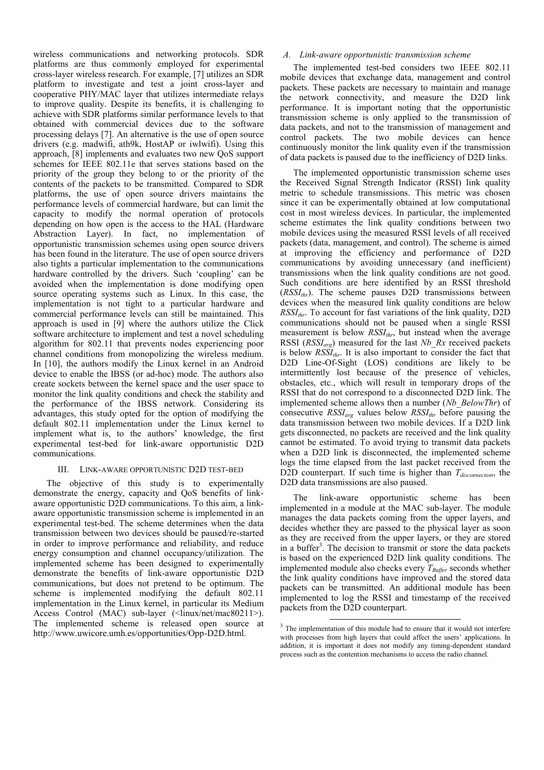wireless communications and networking protocols. SDR platforms are thus commonly employed for experimental cross-layer wireless research. For example, [7] utilizes an SDR platform to investigate and test a joint cross-layer and cooperative PHY/MAC layer that utilizes intermediate relays to improve quality. Despite its benefits, it is challenging to achieve with SDR platforms similar performance levels to that obtained with commercial devices due to the software processing delays [7]. An alternative is the use of open source drivers (e.g. madwifi, ath9k, HostAP or iwlwifi). Using this approach, [8] implements and evaluates two new QoS support schemes for IEEE 802.11e that serves stations based on the priority of the group they belong to or the priority of the contents of the packets to be transmitted. Compared to SDR platforms, the use of open source drivers maintains the performance levels of commercial hardware, but can limit the capacity to modify the normal operation of protocols depending on how open is the access to the HAL (Hardware Abstraction Layer). In fact, no implementation of opportunistic transmission schemes using open source drivers has been found in the literature. The use of open source drivers also tights a particular implementation to the communications hardware controlled by the drivers. Such 'coupling' can be avoided when the implementation is done modifying open source operating systems such as Linux. In this case, the implementation is not tight to a particular hardware and commercial performance levels can still be maintained. This approach is used in [9] where the authors utilize the Click software architecture to implement and test a novel scheduling algorithm for 802.11 that prevents nodes experiencing poor channel conditions from monopolizing the wireless medium. In [10], the authors modify the Linux kernel in an Android device to enable the IBSS (or ad-hoc) mode. The authors also create sockets between the kernel space and the user space to monitor the link quality conditions and check the stability and the performance of the IBSS network. Considering its advantages, this study opted for the option of modifying the default 802.11 implementation under the Linux kernel to implement what is, to the authors' knowledge, the first experimental test-bed for link-aware opportunistic D2D communications.

# III. LINK-AWARE OPPORTUNISTIC D2D TEST-BED

The objective of this study is to experimentally demonstrate the energy, capacity and QoS benefits of linkaware opportunistic D2D communications. To this aim, a linkaware opportunistic transmission scheme is implemented in an experimental test-bed. The scheme determines when the data transmission between two devices should be paused/re-started in order to improve performance and reliability, and reduce energy consumption and channel occupancy/utilization. The implemented scheme has been designed to experimentally demonstrate the benefits of link-aware opportunistic D2D communications, but does not pretend to be optimum. The scheme is implemented modifying the default 802.11 implementation in the Linux kernel, in particular its Medium Access Control (MAC) sub-layer (<linux/net/mac80211>). The implemented scheme is released open source at http://www.uwicore.umh.es/opportunities/Opp-D2D.html.

## *A. Link-aware opportunistic transmission scheme*

The implemented test-bed considers two IEEE 802.11 mobile devices that exchange data, management and control packets. These packets are necessary to maintain and manage the network connectivity, and measure the D2D link performance. It is important noting that the opportunistic transmission scheme is only applied to the transmission of data packets, and not to the transmission of management and control packets. The two mobile devices can hence continuously monitor the link quality even if the transmission of data packets is paused due to the inefficiency of D2D links.

The implemented opportunistic transmission scheme uses the Received Signal Strength Indicator (RSSI) link quality metric to schedule transmissions. This metric was chosen since it can be experimentally obtained at low computational cost in most wireless devices. In particular, the implemented scheme estimates the link quality conditions between two mobile devices using the measured RSSI levels of all received packets (data, management, and control). The scheme is aimed at improving the efficiency and performance of D2D communications by avoiding unnecessary (and inefficient) transmissions when the link quality conditions are not good. Such conditions are here identified by an RSSI threshold  $(RSSI_{thr})$ . The scheme pauses D2D transmissions between devices when the measured link quality conditions are below  $RSSI_{thr}$ . To account for fast variations of the link quality, D2D communications should not be paused when a single RSSI measurement is below *RSSI<sub>thr*</sub>, but instead when the average RSSI (*RSSI<sub>avg</sub>*) measured for the last *Nb* Rx received packets is below  $RSSI_{thr}$ . It is also important to consider the fact that D2D Line-Of-Sight (LOS) conditions are likely to be intermittently lost because of the presence of vehicles, obstacles, etc., which will result in temporary drops of the RSSI that do not correspond to a disconnected D2D link. The implemented scheme allows then a number (*Nb\_BelowThr*) of consecutive  $RSSI_{avg}$  values below  $RSSI_{thr}$  before pausing the data transmission between two mobile devices. If a D2D link gets disconnected, no packets are received and the link quality cannot be estimated. To avoid trying to transmit data packets when a D2D link is disconnected, the implemented scheme logs the time elapsed from the last packet received from the D2D counterpart. If such time is higher than *T<sub>disconnection*, the</sub> D2D data transmissions are also paused.

The link-aware opportunistic scheme has been implemented in a module at the MAC sub-layer. The module manages the data packets coming from the upper layers, and decides whether they are passed to the physical layer as soon as they are received from the upper layers, or they are stored in a buffer<sup>3</sup>. The decision to transmit or store the data packets is based on the experienced D2D link quality conditions. The implemented module also checks every  $T_{Buffer}$  seconds whether the link quality conditions have improved and the stored data packets can be transmitted. An additional module has been implemented to log the RSSI and timestamp of the received packets from the D2D counterpart.

<sup>&</sup>lt;sup>3</sup> The implementation of this module had to ensure that it would not interfere with processes from high layers that could affect the users' applications. In addition, it is important it does not modify any timing-dependent standard process such as the contention mechanisms to access the radio channel.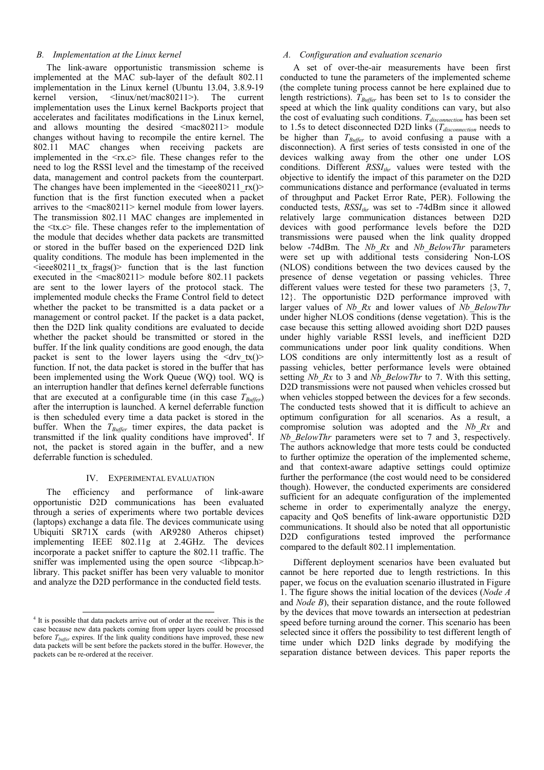# *B. Implementation at the Linux kernel*

The link-aware opportunistic transmission scheme is implemented at the MAC sub-layer of the default 802.11 implementation in the Linux kernel (Ubuntu 13.04, 3.8.9-19 kernel version. <linux/net/mac80211>). The current implementation uses the Linux kernel Backports project that accelerates and facilitates modifications in the Linux kernel, and allows mounting the desired <mac80211> module changes without having to recompile the entire kernel. The 802.11 MAC changes when receiving packets are implemented in the  $\langle$ rx.c $>$  file. These changes refer to the need to log the RSSI level and the timestamp of the received data, management and control packets from the counterpart. The changes have been implemented in the  $\leq$ ieee $80211~\text{rx}$ ()> function that is the first function executed when a packet arrives to the <mac80211> kernel module from lower layers. The transmission 802.11 MAC changes are implemented in the  $\langle tx, c \rangle$  file. These changes refer to the implementation of the module that decides whether data packets are transmitted or stored in the buffer based on the experienced D2D link quality conditions. The module has been implemented in the  $\leq$ ieee80211 tx frags()> function that is the last function executed in the  $\langle \text{mac80211} \rangle$  module before 802.11 packets are sent to the lower layers of the protocol stack. The implemented module checks the Frame Control field to detect whether the packet to be transmitted is a data packet or a management or control packet. If the packet is a data packet, then the D2D link quality conditions are evaluated to decide whether the packet should be transmitted or stored in the buffer. If the link quality conditions are good enough, the data packet is sent to the lower layers using the  $\langle \text{drv tx}(\rangle)$ function. If not, the data packet is stored in the buffer that has been implemented using the Work Queue (WQ) tool. WQ is an interruption handler that defines kernel deferrable functions that are executed at a configurable time (in this case  $T_{Buffer}$ ) after the interruption is launched. A kernel deferrable function is then scheduled every time a data packet is stored in the buffer. When the  $T_{Buffer}$  timer expires, the data packet is transmitted if the link quality conditions have improved<sup>4</sup>. If not, the packet is stored again in the buffer, and a new deferrable function is scheduled.

## IV. EXPERIMENTAL EVALUATION

The efficiency and performance of link-aware opportunistic D2D communications has been evaluated through a series of experiments where two portable devices (laptops) exchange a data file. The devices communicate using Ubiquiti SR71X cards (with AR9280 Atheros chipset) implementing IEEE 802.11g at 2.4GHz. The devices incorporate a packet sniffer to capture the 802.11 traffic. The sniffer was implemented using the open source <libpcap.h> library. This packet sniffer has been very valuable to monitor and analyze the D2D performance in the conducted field tests.

## *A. Configuration and evaluation scenario*

A set of over-the-air measurements have been first conducted to tune the parameters of the implemented scheme (the complete tuning process cannot be here explained due to length restrictions).  $T_{Buffer}$  has been set to 1s to consider the speed at which the link quality conditions can vary, but also the cost of evaluating such conditions. *T<sub>disconnection</sub>* has been set to 1.5s to detect disconnected D2D links (*T<sub>disconnection</sub>* needs to be higher than  $T_{Buffer}$  to avoid confusing a pause with a disconnection). A first series of tests consisted in one of the devices walking away from the other one under LOS conditions. Different *RSSI<sub>thr*</sub> values were tested with the objective to identify the impact of this parameter on the D2D communications distance and performance (evaluated in terms of throughput and Packet Error Rate, PER). Following the conducted tests, *RSSI<sub>thr</sub>* was set to -74dBm since it allowed relatively large communication distances between D2D devices with good performance levels before the D2D transmissions were paused when the link quality dropped below -74dBm. The *Nb\_Rx* and *Nb\_BelowThr* parameters were set up with additional tests considering Non-LOS (NLOS) conditions between the two devices caused by the presence of dense vegetation or passing vehicles. Three different values were tested for these two parameters  $\{3, 7, \ldots\}$ 12}. The opportunistic D2D performance improved with larger values of *Nb\_Rx* and lower values of *Nb\_BelowThr*  under higher NLOS conditions (dense vegetation). This is the case because this setting allowed avoiding short D2D pauses under highly variable RSSI levels, and inefficient D2D communications under poor link quality conditions. When LOS conditions are only intermittently lost as a result of passing vehicles, better performance levels were obtained setting *Nb* Rx to 3 and *Nb* BelowThr to 7. With this setting, D2D transmissions were not paused when vehicles crossed but when vehicles stopped between the devices for a few seconds. The conducted tests showed that it is difficult to achieve an optimum configuration for all scenarios. As a result, a compromise solution was adopted and the *Nb\_Rx* and *Nb\_BelowThr* parameters were set to 7 and 3, respectively. The authors acknowledge that more tests could be conducted to further optimize the operation of the implemented scheme, and that context-aware adaptive settings could optimize further the performance (the cost would need to be considered though). However, the conducted experiments are considered sufficient for an adequate configuration of the implemented scheme in order to experimentally analyze the energy, capacity and QoS benefits of link-aware opportunistic D2D communications. It should also be noted that all opportunistic D2D configurations tested improved the performance compared to the default 802.11 implementation.

Different deployment scenarios have been evaluated but cannot be here reported due to length restrictions. In this paper, we focus on the evaluation scenario illustrated in Figure 1. The figure shows the initial location of the devices (*Node A* and *Node B*), their separation distance, and the route followed by the devices that move towards an intersection at pedestrian speed before turning around the corner. This scenario has been selected since it offers the possibility to test different length of time under which D2D links degrade by modifying the separation distance between devices. This paper reports the

 <sup>4</sup> It is possible that data packets arrive out of order at the receiver. This is the case because new data packets coming from upper layers could be processed before  $T_{buffer}$  expires. If the link quality conditions have improved, these new data packets will be sent before the packets stored in the buffer. However, the packets can be re-ordered at the receiver.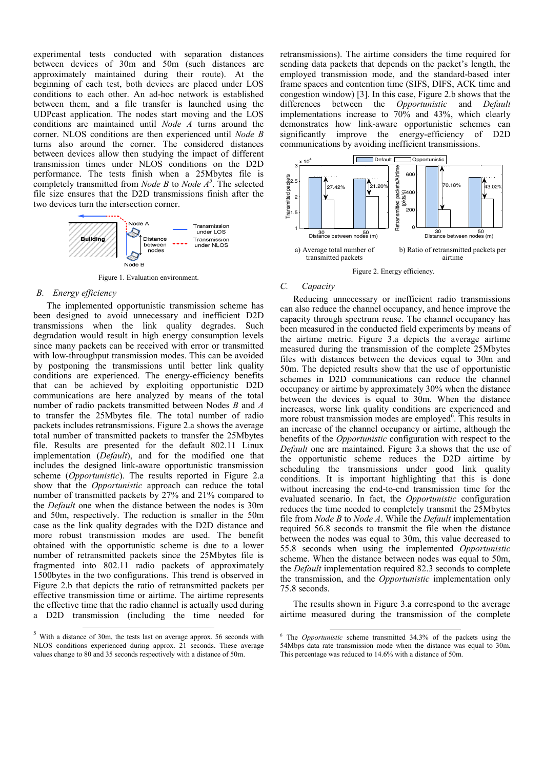experimental tests conducted with separation distances between devices of 30m and 50m (such distances are approximately maintained during their route). At the beginning of each test, both devices are placed under LOS conditions to each other. An ad-hoc network is established between them, and a file transfer is launched using the UDPcast application. The nodes start moving and the LOS conditions are maintained until *Node A* turns around the corner. NLOS conditions are then experienced until *Node B* turns also around the corner. The considered distances between devices allow then studying the impact of different transmission times under NLOS conditions on the D2D performance. The tests finish when a 25Mbytes file is completely transmitted from *Node B* to *Node*  $A^5$ . The selected file size ensures that the D2D transmissions finish after the two devices turn the intersection corner.



Figure 1. Evaluation environment.

## *B. Energy efficiency*

The implemented opportunistic transmission scheme has been designed to avoid unnecessary and inefficient D2D transmissions when the link quality degrades. Such degradation would result in high energy consumption levels since many packets can be received with error or transmitted with low-throughput transmission modes. This can be avoided by postponing the transmissions until better link quality conditions are experienced. The energy-efficiency benefits that can be achieved by exploiting opportunistic D2D communications are here analyzed by means of the total number of radio packets transmitted between Nodes *B* and *A* to transfer the 25Mbytes file. The total number of radio packets includes retransmissions. Figure 2.a shows the average total number of transmitted packets to transfer the 25Mbytes file. Results are presented for the default 802.11 Linux implementation (*Default*), and for the modified one that includes the designed link-aware opportunistic transmission scheme (*Opportunistic*). The results reported in Figure 2.a show that the *Opportunistic* approach can reduce the total number of transmitted packets by 27% and 21% compared to the *Default* one when the distance between the nodes is 30m and 50m, respectively. The reduction is smaller in the 50m case as the link quality degrades with the D2D distance and more robust transmission modes are used. The benefit obtained with the opportunistic scheme is due to a lower number of retransmitted packets since the 25Mbytes file is fragmented into 802.11 radio packets of approximately 1500bytes in the two configurations. This trend is observed in Figure 2.b that depicts the ratio of retransmitted packets per effective transmission time or airtime. The airtime represents the effective time that the radio channel is actually used during a D2D transmission (including the time needed for retransmissions). The airtime considers the time required for sending data packets that depends on the packet's length, the employed transmission mode, and the standard-based inter frame spaces and contention time (SIFS, DIFS, ACK time and congestion window) [3]. In this case, Figure 2.b shows that the differences between the *Opportunistic* and *Default* implementations increase to 70% and 43%, which clearly demonstrates how link-aware opportunistic schemes can significantly improve the energy-efficiency of D2D communications by avoiding inefficient transmissions.



#### *C. Capacity*

Reducing unnecessary or inefficient radio transmissions can also reduce the channel occupancy, and hence improve the capacity through spectrum reuse. The channel occupancy has been measured in the conducted field experiments by means of the airtime metric. Figure 3.a depicts the average airtime measured during the transmission of the complete 25Mbytes files with distances between the devices equal to 30m and 50m. The depicted results show that the use of opportunistic schemes in D2D communications can reduce the channel occupancy or airtime by approximately 30% when the distance between the devices is equal to 30m. When the distance increases, worse link quality conditions are experienced and more robust transmission modes are employed<sup>6</sup>. This results in an increase of the channel occupancy or airtime, although the benefits of the *Opportunistic* configuration with respect to the *Default* one are maintained. Figure 3.a shows that the use of the opportunistic scheme reduces the D2D airtime by scheduling the transmissions under good link quality conditions. It is important highlighting that this is done without increasing the end-to-end transmission time for the evaluated scenario. In fact, the *Opportunistic* configuration reduces the time needed to completely transmit the 25Mbytes file from *Node B* to *Node A*. While the *Default* implementation required 56.8 seconds to transmit the file when the distance between the nodes was equal to 30m, this value decreased to 55.8 seconds when using the implemented *Opportunistic* scheme. When the distance between nodes was equal to 50m, the *Default* implementation required 82.3 seconds to complete the transmission, and the *Opportunistic* implementation only 75.8 seconds.

The results shown in Figure 3.a correspond to the average airtime measured during the transmission of the complete

 <sup>5</sup> With a distance of 30m, the tests last on average approx. 56 seconds with NLOS conditions experienced during approx. 21 seconds. These average values change to 80 and 35 seconds respectively with a distance of 50m.

 <sup>6</sup> The *Opportunistic* scheme transmitted 34.3% of the packets using the 54Mbps data rate transmission mode when the distance was equal to 30m. This percentage was reduced to 14.6% with a distance of 50m.